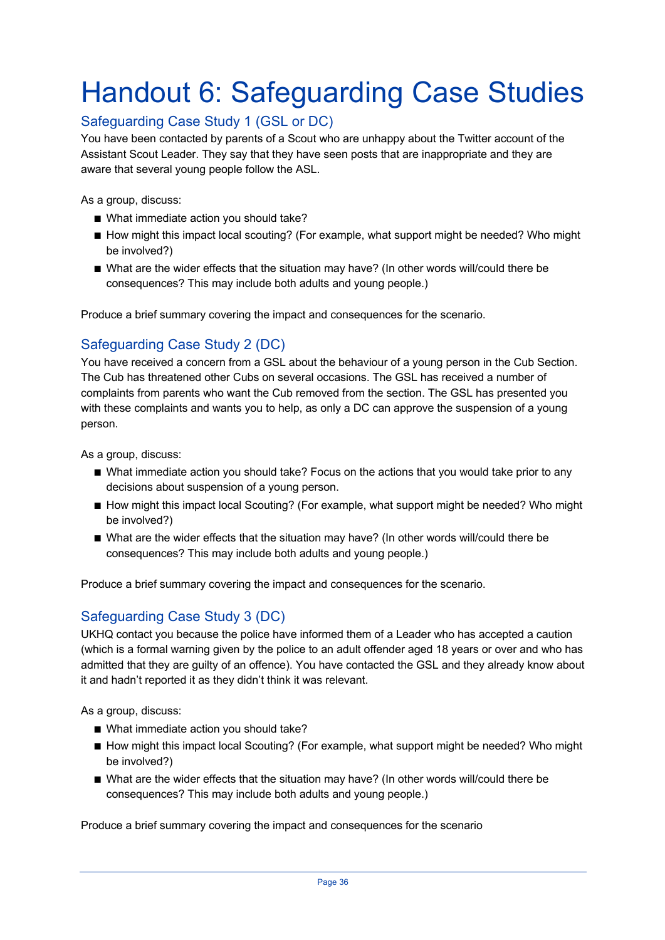# Handout 6: Safeguarding Case Studies

### Safeguarding Case Study 1 (GSL or DC)

You have been contacted by parents of a Scout who are unhappy about the Twitter account of the Assistant Scout Leader. They say that they have seen posts that are inappropriate and they are aware that several young people follow the ASL.

As a group, discuss:

- What immediate action you should take?
- How might this impact local scouting? (For example, what support might be needed? Who might be involved?)
- What are the wider effects that the situation may have? (In other words will/could there be consequences? This may include both adults and young people.)

Produce a brief summary covering the impact and consequences for the scenario.

### Safeguarding Case Study 2 (DC)

You have received a concern from a GSL about the behaviour of a young person in the Cub Section. The Cub has threatened other Cubs on several occasions. The GSL has received a number of complaints from parents who want the Cub removed from the section. The GSL has presented you with these complaints and wants you to help, as only a DC can approve the suspension of a young person.

As a group, discuss:

- What immediate action you should take? Focus on the actions that you would take prior to any decisions about suspension of a young person.
- How might this impact local Scouting? (For example, what support might be needed? Who might be involved?)
- What are the wider effects that the situation may have? (In other words will/could there be consequences? This may include both adults and young people.)

Produce a brief summary covering the impact and consequences for the scenario.

### Safeguarding Case Study 3 (DC)

UKHQ contact you because the police have informed them of a Leader who has accepted a caution (which is a formal warning given by the police to an adult offender aged 18 years or over and who has admitted that they are guilty of an offence). You have contacted the GSL and they already know about it and hadn't reported it as they didn't think it was relevant.

As a group, discuss:

- What immediate action you should take?
- How might this impact local Scouting? (For example, what support might be needed? Who might be involved?)
- What are the wider effects that the situation may have? (In other words will/could there be consequences? This may include both adults and young people.)

Produce a brief summary covering the impact and consequences for the scenario